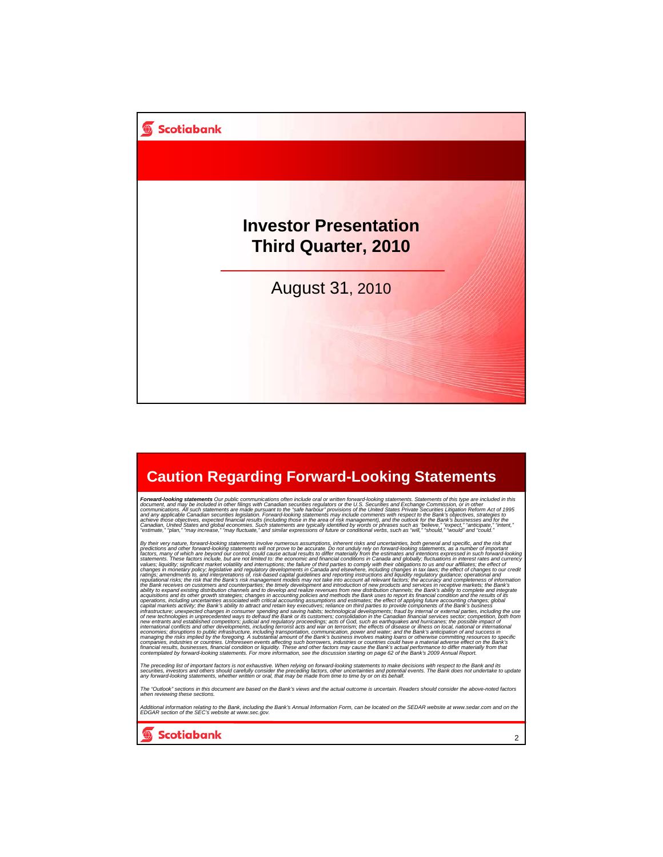

## **Caution Regarding Forward-Looking Statements**

Forward-looking statements Our public communications often include oral or written forward-looking statements. Statements of this type are included in this specially document and may be included in other filings with Canad

By their very nature, forward-looking statements involve numerous assumptions, inherent risks and uncertainties, both general and specific, and the risk that the risk that the risk that the risk that in specific and the fo capital markets activity; the Bank's ability to attract and retain key executives; reliance on third parties to provide components of the Bank's business<br>infrastructure; unexpected changes in consumer spending and saving h

The preceding list of important factors is not exhaustive. When relying on forward-looking statements to make decisions with respect to the Bank and its<br>securities, investors and others should carefully consider the preced

The "Outlook" sections in this document are based on the Bank's views and the actual outcome is uncertain. Readers should consider the above-noted factors<br>when reviewing these sections.

Additional information relating to the Bank, including the Bank's Annual Information Form, can be located on the SEDAR website at www.sedar.com and on the<br>EDGAR section of the SEC's website at www.sec.gov.

2

**Scotiabank**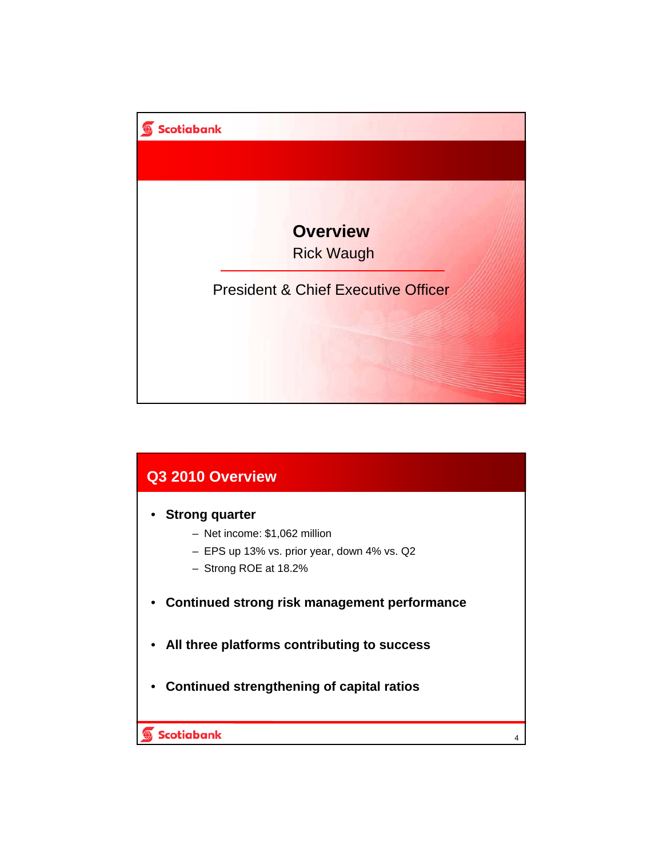

| Q3 2010 Overview                                                                                                                   |   |
|------------------------------------------------------------------------------------------------------------------------------------|---|
| <b>Strong quarter</b><br>- Net income: \$1,062 million<br>$-$ EPS up 13% vs. prior year, down 4% vs. Q2<br>$-$ Strong ROE at 18.2% |   |
| • Continued strong risk management performance                                                                                     |   |
| All three platforms contributing to success                                                                                        |   |
| Continued strengthening of capital ratios                                                                                          |   |
| Scotiabank                                                                                                                         | 4 |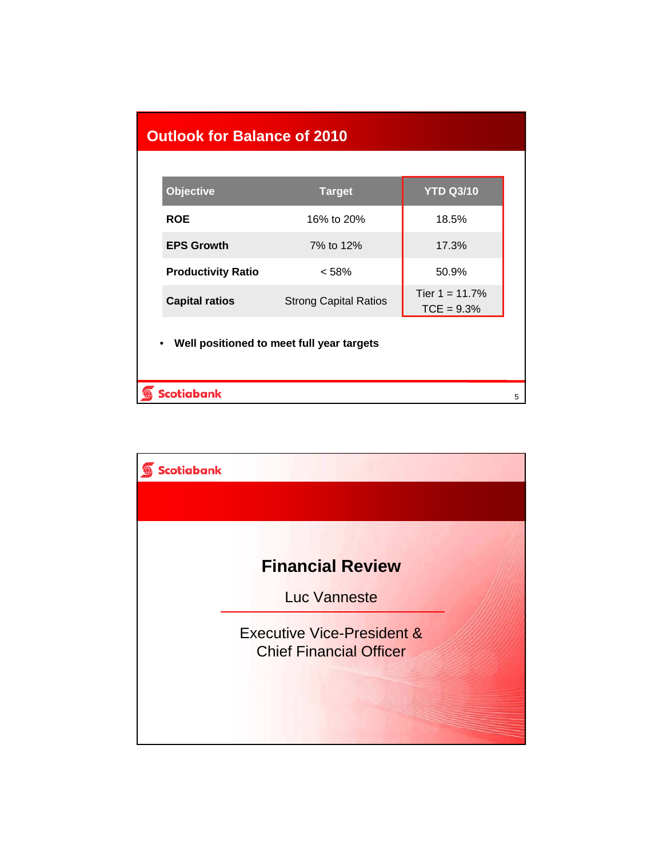| <b>Outlook for Balance of 2010</b>        |                           |                              |                                  |   |  |  |
|-------------------------------------------|---------------------------|------------------------------|----------------------------------|---|--|--|
|                                           |                           |                              |                                  |   |  |  |
|                                           | <b>Objective</b>          | <b>Target</b>                | <b>YTD Q3/10</b>                 |   |  |  |
|                                           | <b>ROE</b>                | 16% to 20%                   | 18.5%                            |   |  |  |
|                                           | <b>EPS Growth</b>         | 7% to 12%                    | 17.3%                            |   |  |  |
|                                           | <b>Productivity Ratio</b> | < 58%                        | 50.9%                            |   |  |  |
|                                           | <b>Capital ratios</b>     | <b>Strong Capital Ratios</b> | Tier $1 = 11.7%$<br>$TCE = 9.3%$ |   |  |  |
| Well positioned to meet full year targets |                           |                              |                                  |   |  |  |
|                                           | <b>Scotiabank</b>         |                              |                                  | 5 |  |  |

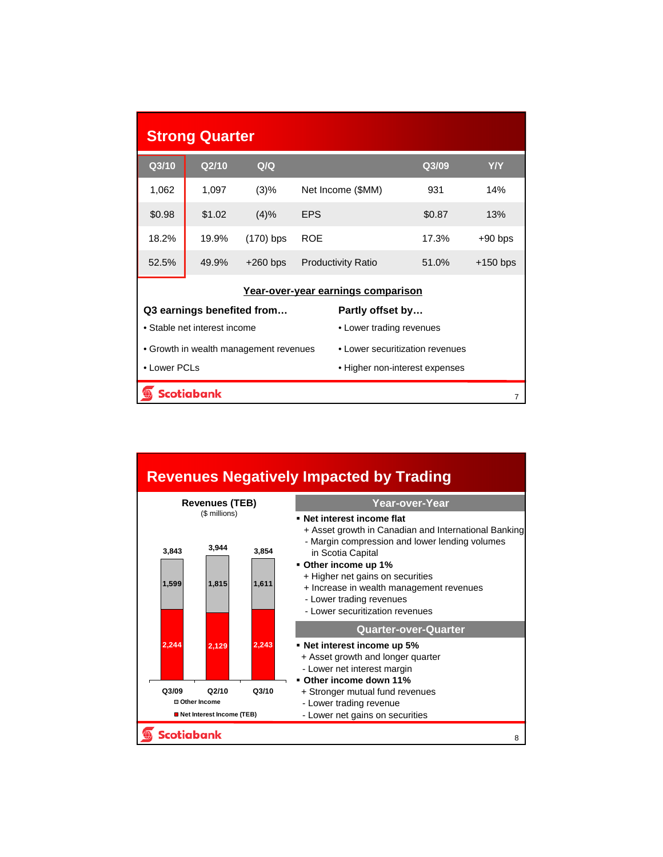| <b>Strong Quarter</b>              |                              |                                        |                                 |        |            |
|------------------------------------|------------------------------|----------------------------------------|---------------------------------|--------|------------|
| Q3/10                              | Q <sub>2/10</sub>            | Q/Q                                    |                                 | Q3/09  | <b>Y/Y</b> |
| 1,062                              | 1,097                        | (3)%                                   | Net Income (\$MM)               | 931    | 14%        |
| \$0.98                             | \$1.02                       | (4)%                                   | <b>EPS</b>                      | \$0.87 | 13%        |
| 18.2%                              | 19.9%                        | $(170)$ bps                            | <b>ROE</b>                      | 17.3%  | $+90$ bps  |
| 52.5%                              | 49.9%                        | $+260$ bps                             | <b>Productivity Ratio</b>       | 51.0%  | $+150$ bps |
| Year-over-year earnings comparison |                              |                                        |                                 |        |            |
|                                    |                              | Q3 earnings benefited from             | Partly offset by                |        |            |
|                                    | • Stable net interest income |                                        | • Lower trading revenues        |        |            |
|                                    |                              | • Growth in wealth management revenues | • Lower securitization revenues |        |            |
| • Lower PCLs                       |                              | • Higher non-interest expenses         |                                 |        |            |
|                                    | <b>Scotiabank</b>            |                                        |                                 |        |            |

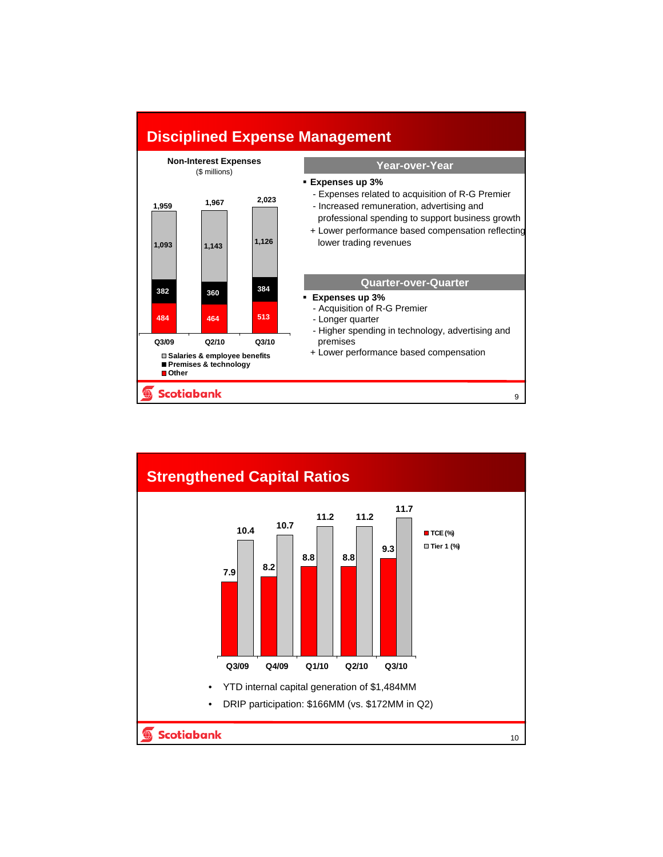

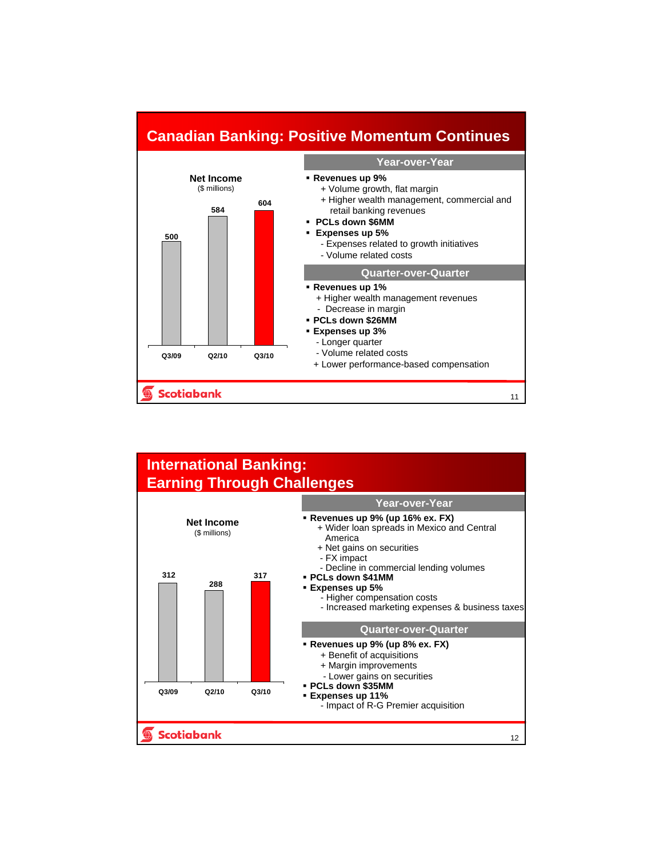## **Canadian Banking: Positive Momentum Continues**



![](_page_5_Figure_2.jpeg)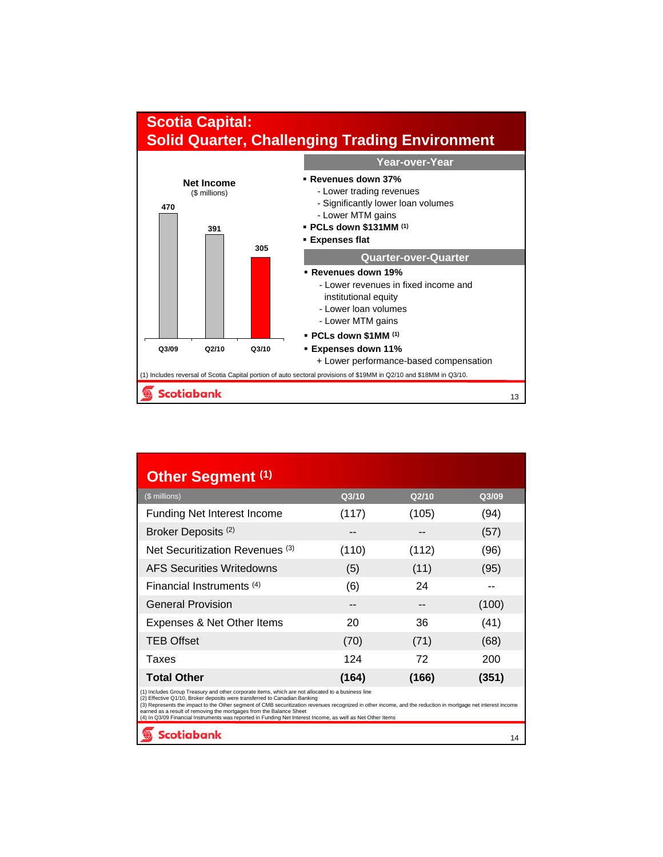![](_page_6_Figure_0.jpeg)

| Other Segment (1)                                                                                                                                                                                                                                                                                                                                                                                                                                                                                                                  |                   |       |       |  |
|------------------------------------------------------------------------------------------------------------------------------------------------------------------------------------------------------------------------------------------------------------------------------------------------------------------------------------------------------------------------------------------------------------------------------------------------------------------------------------------------------------------------------------|-------------------|-------|-------|--|
| (\$ millions)                                                                                                                                                                                                                                                                                                                                                                                                                                                                                                                      | Q <sub>3/10</sub> | Q2/10 | Q3/09 |  |
| <b>Funding Net Interest Income</b>                                                                                                                                                                                                                                                                                                                                                                                                                                                                                                 | (117)             | (105) | (94)  |  |
| Broker Deposits <sup>(2)</sup>                                                                                                                                                                                                                                                                                                                                                                                                                                                                                                     |                   |       | (57)  |  |
| Net Securitization Revenues <sup>(3)</sup>                                                                                                                                                                                                                                                                                                                                                                                                                                                                                         | (110)             | (112) | (96)  |  |
| <b>AFS Securities Writedowns</b>                                                                                                                                                                                                                                                                                                                                                                                                                                                                                                   | (5)               | (11)  | (95)  |  |
| Financial Instruments <sup>(4)</sup>                                                                                                                                                                                                                                                                                                                                                                                                                                                                                               | (6)               | 24    |       |  |
| <b>General Provision</b>                                                                                                                                                                                                                                                                                                                                                                                                                                                                                                           |                   |       | (100) |  |
| Expenses & Net Other Items                                                                                                                                                                                                                                                                                                                                                                                                                                                                                                         | 20                | 36    | (41)  |  |
| <b>TEB Offset</b>                                                                                                                                                                                                                                                                                                                                                                                                                                                                                                                  | (70)              | (71)  | (68)  |  |
| Taxes                                                                                                                                                                                                                                                                                                                                                                                                                                                                                                                              | 124               | 72    | 200   |  |
| <b>Total Other</b>                                                                                                                                                                                                                                                                                                                                                                                                                                                                                                                 | (164)             | (166) | (351) |  |
| (1) Includes Group Treasury and other corporate items, which are not allocated to a business line<br>(2) Effective Q1/10, Broker deposits were transferred to Canadian Banking<br>(3) Represents the impact to the Other segment of CMB securitization revenues recognized in other income, and the reduction in mortgage net interest income<br>earned as a result of removing the mortgages from the Balance Sheet<br>(4) In Q3/09 Financial Instruments was reported in Funding Net Interest Income, as well as Net Other Items |                   |       |       |  |
| <b>Scotiabank</b>                                                                                                                                                                                                                                                                                                                                                                                                                                                                                                                  |                   |       | 14    |  |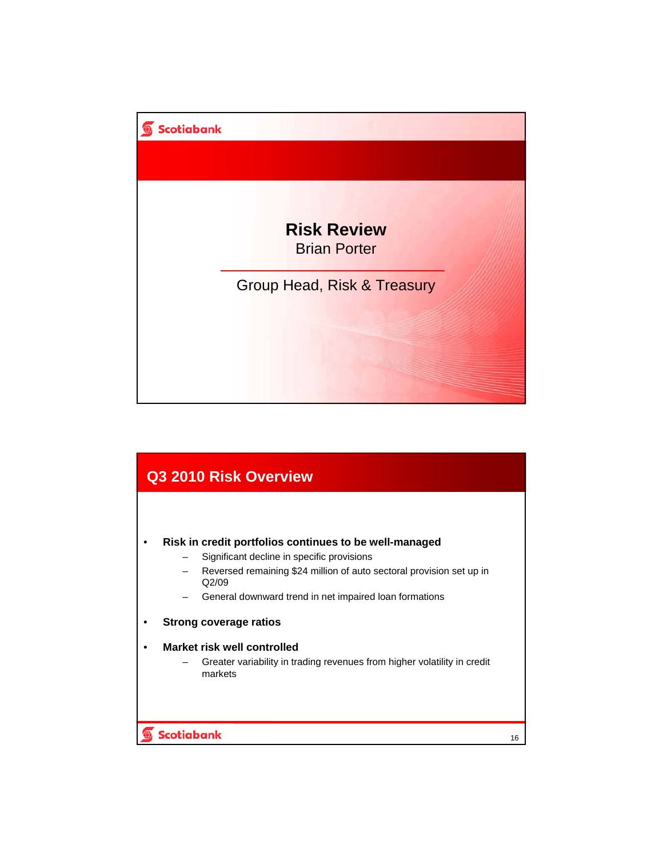![](_page_7_Figure_0.jpeg)

![](_page_7_Figure_1.jpeg)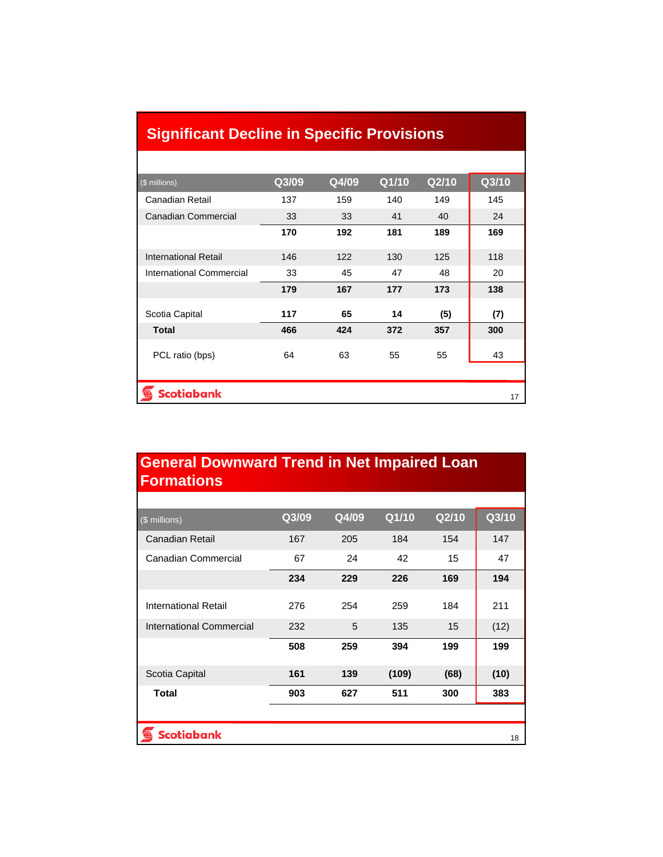## **Significant Decline in Specific Provisions**

| (\$ millions)               | Q3/09 | Q4/09 | Q1/10 | Q2/10 | Q3/10 |
|-----------------------------|-------|-------|-------|-------|-------|
| Canadian Retail             | 137   | 159   | 140   | 149   | 145   |
| Canadian Commercial         | 33    | 33    | 41    | 40    | 24    |
|                             | 170   | 192   | 181   | 189   | 169   |
| <b>International Retail</b> | 146   | 122   | 130   | 125   | 118   |
| International Commercial    | 33    | 45    | 47    | 48    | 20    |
|                             | 179   | 167   | 177   | 173   | 138   |
| Scotia Capital              | 117   | 65    | 14    | (5)   | (7)   |
| <b>Total</b>                | 466   | 424   | 372   | 357   | 300   |
| PCL ratio (bps)             | 64    | 63    | 55    | 55    | 43    |
|                             |       |       |       |       |       |
| <b>Scotiabank</b>           |       |       |       |       | 17    |

## **General Downward Trend in Net Impaired Loan Formations**

| (\$ millions)            | Q3/09 | Q4/09 | Q1/10 | Q2/10 | Q3/10 |
|--------------------------|-------|-------|-------|-------|-------|
| Canadian Retail          | 167   | 205   | 184   | 154   | 147   |
| Canadian Commercial      | 67    | 24    | 42    | 15    | 47    |
|                          | 234   | 229   | 226   | 169   | 194   |
| International Retail     | 276   | 254   | 259   | 184   | 211   |
| International Commercial | 232   | 5     | 135   | 15    | (12)  |
|                          | 508   | 259   | 394   | 199   | 199   |
| Scotia Capital           | 161   | 139   | (109) | (68)  | (10)  |
| <b>Total</b>             | 903   | 627   | 511   | 300   | 383   |
|                          |       |       |       |       |       |
| <b>Scotiabank</b>        |       |       |       |       | 18    |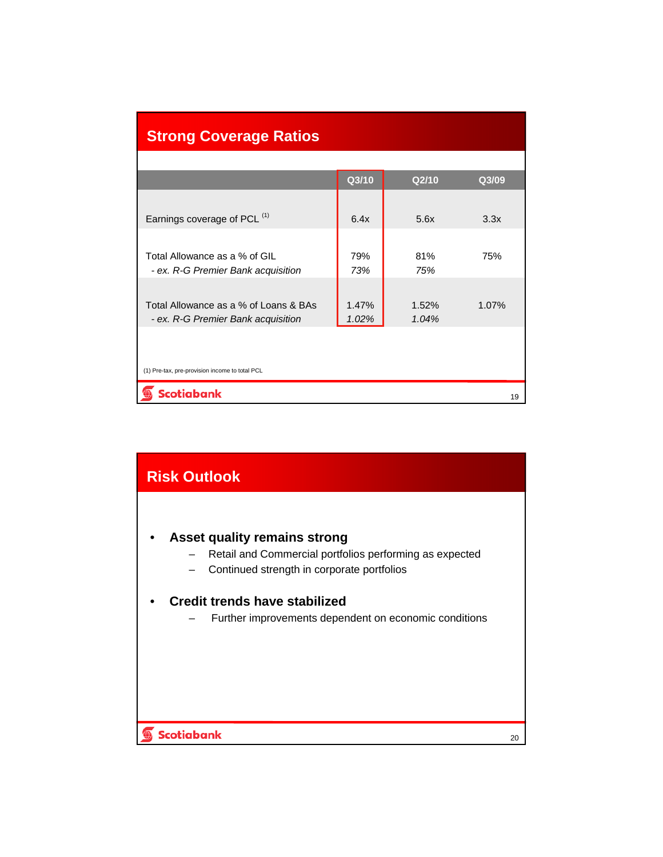| <b>Strong Coverage Ratios</b>                  |       |       |       |
|------------------------------------------------|-------|-------|-------|
|                                                |       |       |       |
|                                                | Q3/10 | Q2/10 | Q3/09 |
|                                                |       |       |       |
| Earnings coverage of PCL <sup>(1)</sup>        | 6.4x  | 5.6x  | 3.3x  |
|                                                |       |       |       |
| Total Allowance as a % of GIL                  | 79%   | 81%   | 75%   |
| - ex. R-G Premier Bank acquisition             | 73%   | 75%   |       |
|                                                |       |       |       |
| Total Allowance as a % of Loans & BAs          | 1.47% | 1.52% | 1.07% |
| - ex. R-G Premier Bank acquisition             | 1.02% | 1.04% |       |
|                                                |       |       |       |
|                                                |       |       |       |
| (1) Pre-tax, pre-provision income to total PCL |       |       |       |
| <b>Scotiabank</b>                              |       |       | 19    |

![](_page_9_Figure_1.jpeg)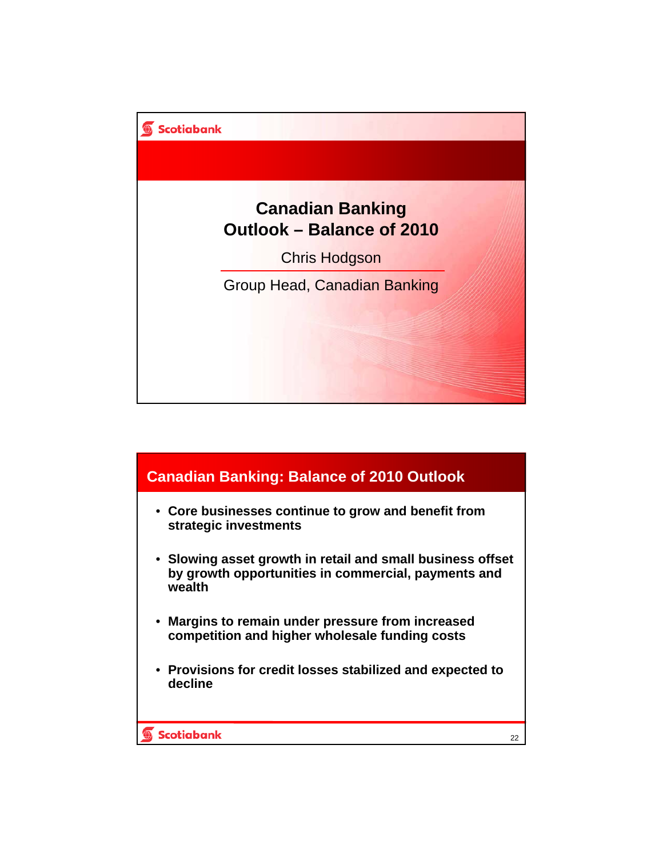![](_page_10_Figure_0.jpeg)

![](_page_10_Figure_1.jpeg)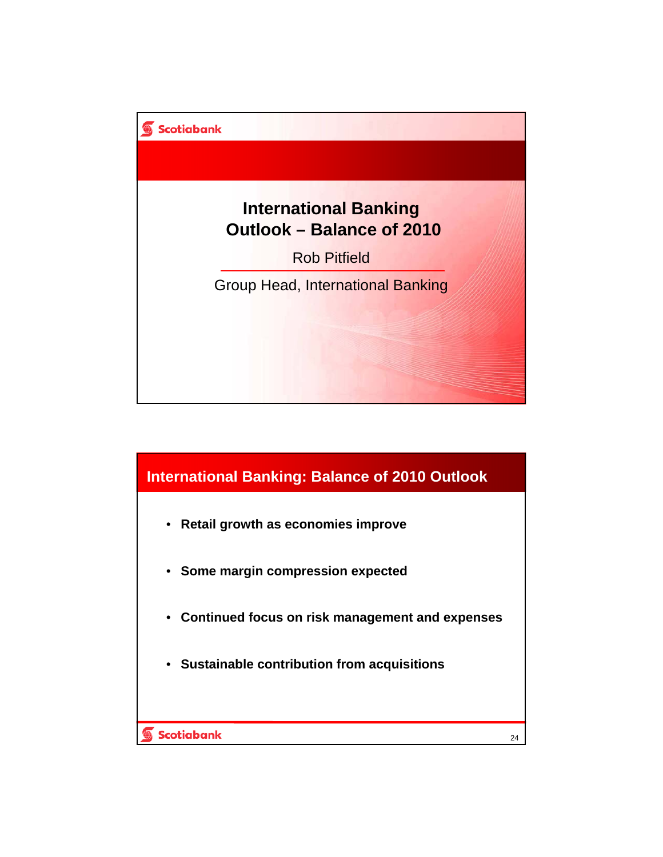![](_page_11_Figure_0.jpeg)

![](_page_11_Figure_1.jpeg)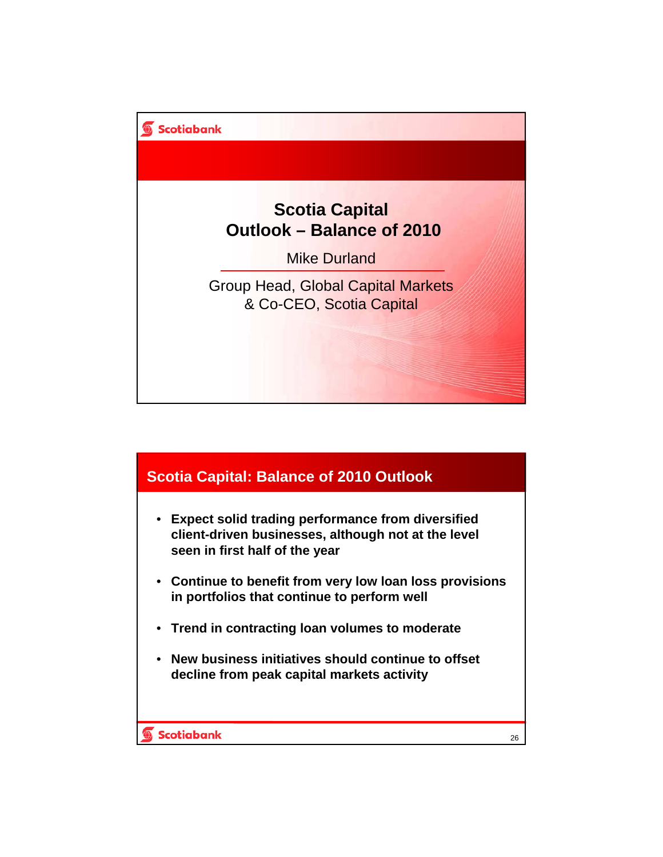![](_page_12_Figure_0.jpeg)

![](_page_12_Figure_1.jpeg)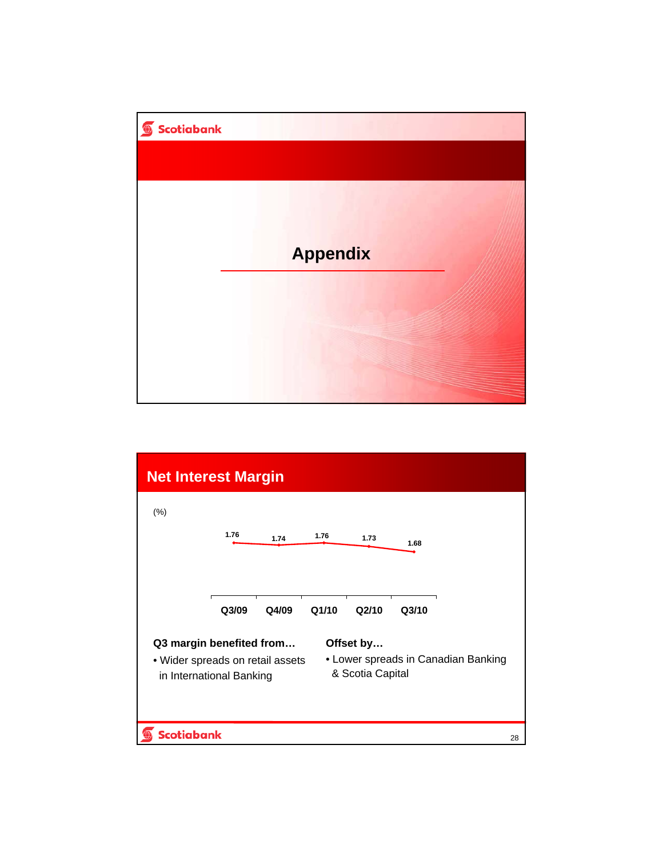![](_page_13_Figure_0.jpeg)

![](_page_13_Figure_1.jpeg)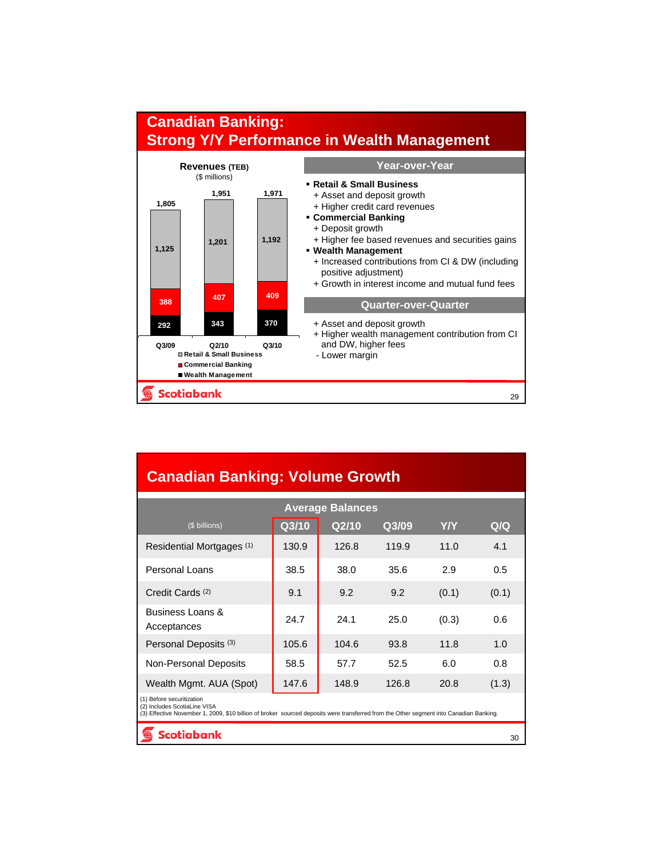![](_page_14_Figure_0.jpeg)

| <b>Canadian Banking: Volume Growth</b>                                                                                                                                                              |       |       |       |            |       |
|-----------------------------------------------------------------------------------------------------------------------------------------------------------------------------------------------------|-------|-------|-------|------------|-------|
| <b>Average Balances</b>                                                                                                                                                                             |       |       |       |            |       |
| (\$ billions)                                                                                                                                                                                       | Q3/10 | Q2/10 | Q3/09 | <b>Y/Y</b> | Q/Q   |
| Residential Mortgages (1)                                                                                                                                                                           | 130.9 | 126.8 | 119.9 | 11.0       | 41    |
| Personal Loans                                                                                                                                                                                      | 38.5  | 38.0  | 35.6  | 2.9        | 0.5   |
| Credit Cards <sup>(2)</sup>                                                                                                                                                                         | 9.1   | 9.2   | 9.2   | (0.1)      | (0.1) |
| Business Loans &<br>Acceptances                                                                                                                                                                     | 24.7  | 24.1  | 25.0  | (0.3)      | 0.6   |
| Personal Deposits (3)                                                                                                                                                                               | 105.6 | 104.6 | 93.8  | 11.8       | 1.0   |
| Non-Personal Deposits                                                                                                                                                                               | 58.5  | 57.7  | 52.5  | 6.0        | 0.8   |
| Wealth Mgmt. AUA (Spot)                                                                                                                                                                             | 147.6 | 148.9 | 126.8 | 20.8       | (1.3) |
| (1) Before securitization<br>(2) Includes ScotiaLine VISA<br>(3) Effective November 1, 2009, \$10 billion of broker sourced deposits were transferred from the Other segment into Canadian Banking. |       |       |       |            |       |
| <b>Scotiabank</b>                                                                                                                                                                                   |       |       |       |            | 30    |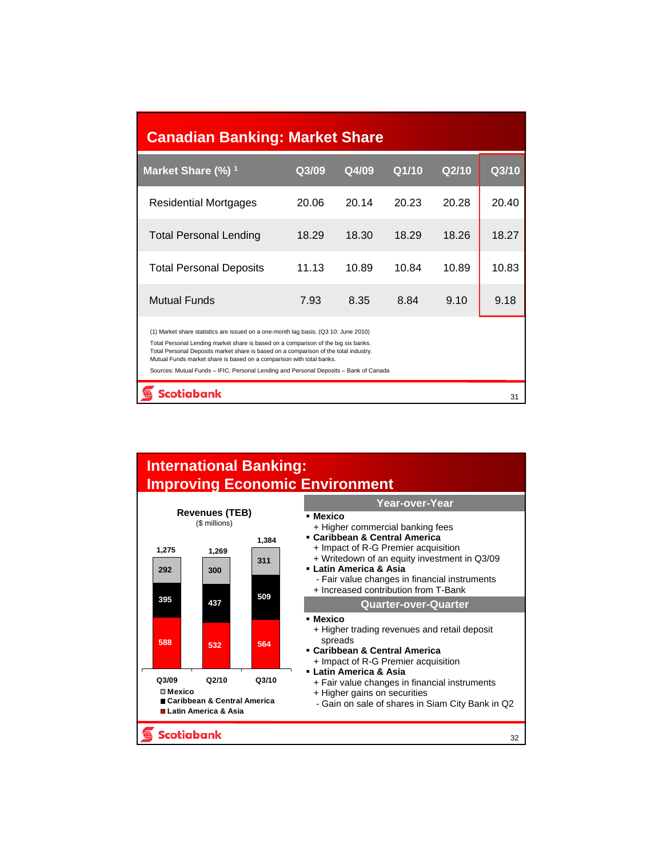| <b>Canadian Banking: Market Share</b>                                                                                                                                                                                                                                                                                                                                                                                              |       |       |       |                   |       |
|------------------------------------------------------------------------------------------------------------------------------------------------------------------------------------------------------------------------------------------------------------------------------------------------------------------------------------------------------------------------------------------------------------------------------------|-------|-------|-------|-------------------|-------|
| Market Share (%) <sup>1</sup>                                                                                                                                                                                                                                                                                                                                                                                                      | Q3/09 | Q4/09 | Q1/10 | Q <sub>2/10</sub> | Q3/10 |
| Residential Mortgages                                                                                                                                                                                                                                                                                                                                                                                                              | 20.06 | 20.14 | 20.23 | 20.28             | 20.40 |
| Total Personal Lending                                                                                                                                                                                                                                                                                                                                                                                                             | 18.29 | 18.30 | 18.29 | 18.26             | 18.27 |
| <b>Total Personal Deposits</b>                                                                                                                                                                                                                                                                                                                                                                                                     | 11.13 | 10.89 | 10.84 | 10.89             | 10.83 |
| <b>Mutual Funds</b>                                                                                                                                                                                                                                                                                                                                                                                                                | 7.93  | 8.35  | 8.84  | 9.10              | 9.18  |
| (1) Market share statistics are issued on a one-month lag basis. (Q3 10: June 2010)<br>Total Personal Lending market share is based on a comparison of the big six banks.<br>Total Personal Deposits market share is based on a comparison of the total industry.<br>Mutual Funds market share is based on a comparison with total banks.<br>Sources: Mutual Funds - IFIC; Personal Lending and Personal Deposits - Bank of Canada |       |       |       |                   |       |
| Scotiabank                                                                                                                                                                                                                                                                                                                                                                                                                         |       |       |       |                   | 31    |

![](_page_15_Figure_1.jpeg)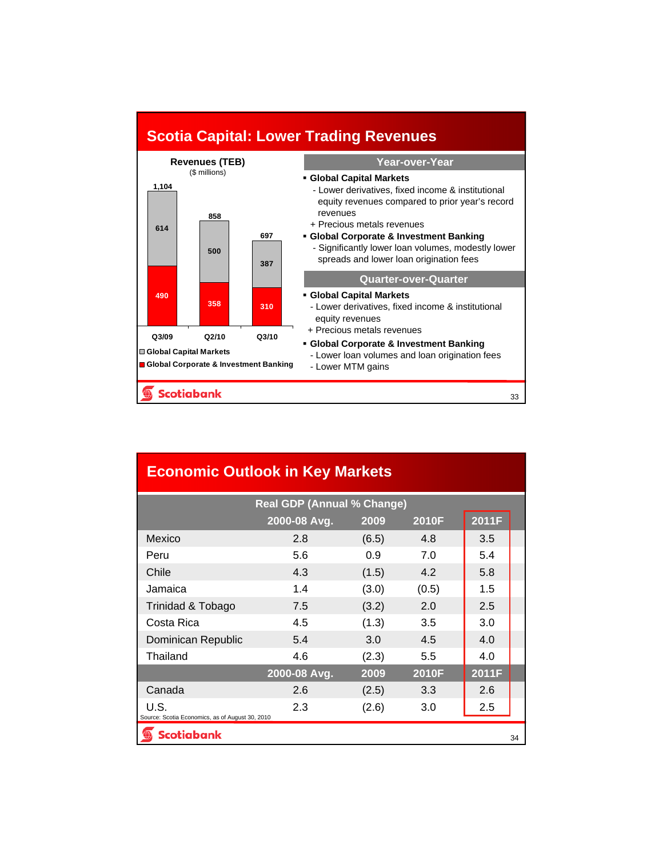![](_page_16_Figure_0.jpeg)

| <b>Economic Outlook in Key Markets</b>                  |              |       |                  |       |    |
|---------------------------------------------------------|--------------|-------|------------------|-------|----|
| <b>Real GDP (Annual % Change)</b>                       |              |       |                  |       |    |
|                                                         | 2000-08 Avg. | 2009  | 2010F            | 2011F |    |
| Mexico                                                  | 2.8          | (6.5) | 4.8              | 3.5   |    |
| Peru                                                    | 5.6          | 0.9   | 7.0              | 5.4   |    |
| Chile                                                   | 4.3          | (1.5) | 4.2              | 5.8   |    |
| Jamaica                                                 | 1.4          | (3.0) | (0.5)            | 1.5   |    |
| Trinidad & Tobago                                       | 7.5          | (3.2) | 2.0              | 2.5   |    |
| Costa Rica                                              | 4.5          | (1.3) | 3.5              | 3.0   |    |
| Dominican Republic                                      | 5.4          | 3.0   | 4.5              | 4.0   |    |
| Thailand                                                | 4.6          | (2.3) | 5.5              | 4.0   |    |
|                                                         | 2000-08 Avg. | 2009  | <b>2010F</b>     | 2011F |    |
| Canada                                                  | 2.6          | (2.5) | 3.3 <sub>2</sub> | 2.6   |    |
| U.S.<br>Source: Scotia Economics, as of August 30, 2010 | 2.3          | (2.6) | 3.0              | 2.5   |    |
| <b>Scotiabank</b>                                       |              |       |                  |       | 34 |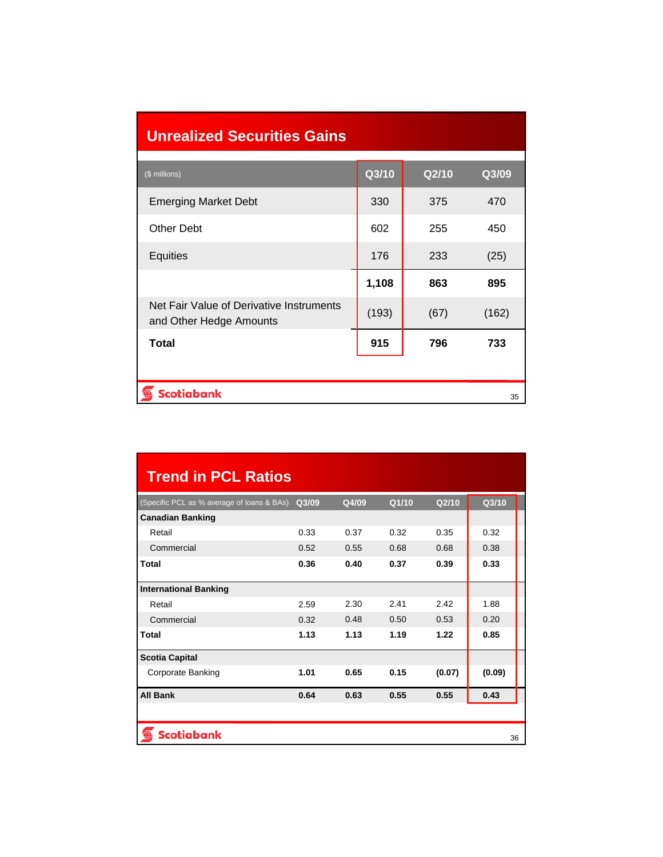| <b>Unrealized Securities Gains</b>                                  |       |       |       |  |
|---------------------------------------------------------------------|-------|-------|-------|--|
| (\$ millions)                                                       | Q3/10 | Q2/10 | Q3/09 |  |
| <b>Emerging Market Debt</b>                                         | 330   | 375   | 470   |  |
| <b>Other Debt</b>                                                   | 602   | 255   | 450   |  |
| Equities                                                            | 176   | 233   | (25)  |  |
|                                                                     | 1,108 | 863   | 895   |  |
| Net Fair Value of Derivative Instruments<br>and Other Hedge Amounts | (193) | (67)  | (162) |  |
| <b>Total</b>                                                        | 915   | 796   | 733   |  |
|                                                                     |       |       |       |  |
| Scotiabank                                                          |       |       | 35    |  |

| <b>Trend in PCL Ratios</b>                 |       |       |       |        |        |    |
|--------------------------------------------|-------|-------|-------|--------|--------|----|
| (Specific PCL as % average of loans & BAs) | Q3/09 | Q4/09 | Q1/10 | Q2/10  | Q3/10  |    |
| <b>Canadian Banking</b>                    |       |       |       |        |        |    |
| Retail                                     | 0.33  | 0.37  | 0.32  | 0.35   | 0.32   |    |
| Commercial                                 | 0.52  | 0.55  | 0.68  | 0.68   | 0.38   |    |
| Total                                      | 0.36  | 0.40  | 0.37  | 0.39   | 0.33   |    |
| <b>International Banking</b>               |       |       |       |        |        |    |
| Retail                                     | 2.59  | 2.30  | 2.41  | 2.42   | 1.88   |    |
| Commercial                                 | 0.32  | 0.48  | 0.50  | 0.53   | 0.20   |    |
| Total                                      | 1.13  | 1.13  | 1.19  | 1.22   | 0.85   |    |
| <b>Scotia Capital</b>                      |       |       |       |        |        |    |
| Corporate Banking                          | 1.01  | 0.65  | 0.15  | (0.07) | (0.09) |    |
| <b>All Bank</b>                            | 0.64  | 0.63  | 0.55  | 0.55   | 0.43   |    |
|                                            |       |       |       |        |        |    |
| <b>Scotiabank</b>                          |       |       |       |        |        | 36 |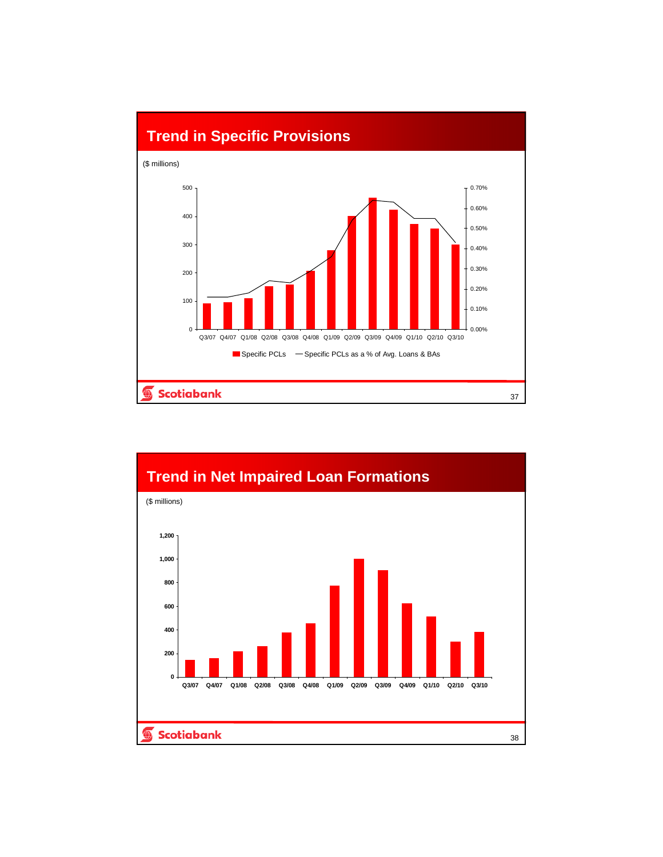![](_page_18_Figure_0.jpeg)

![](_page_18_Figure_1.jpeg)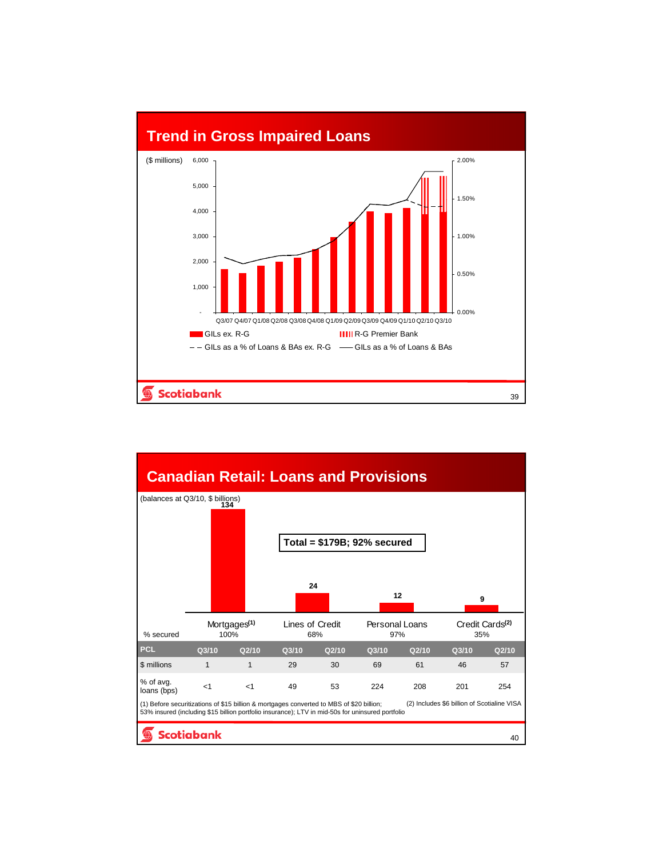![](_page_19_Figure_0.jpeg)

![](_page_19_Figure_1.jpeg)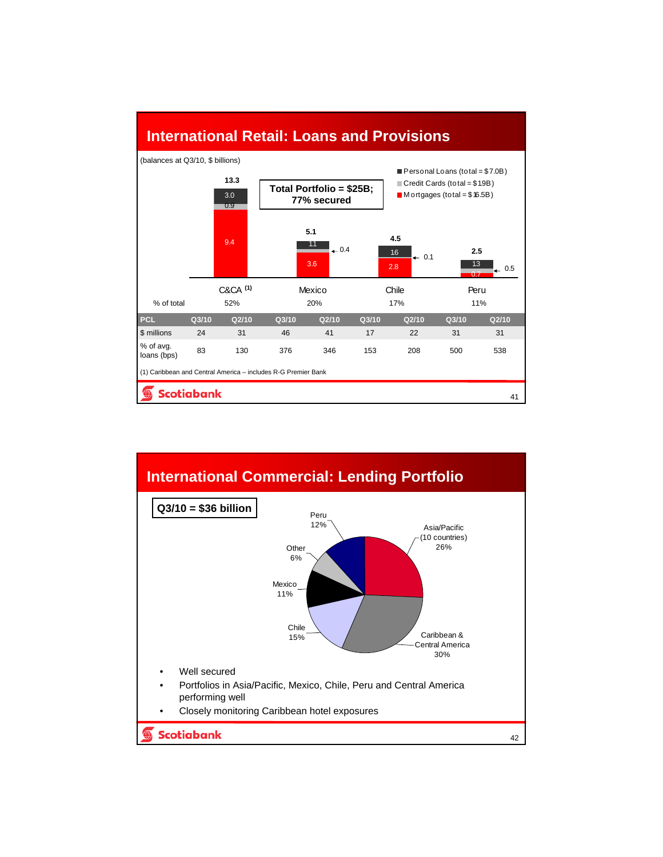![](_page_20_Figure_0.jpeg)

![](_page_20_Figure_1.jpeg)